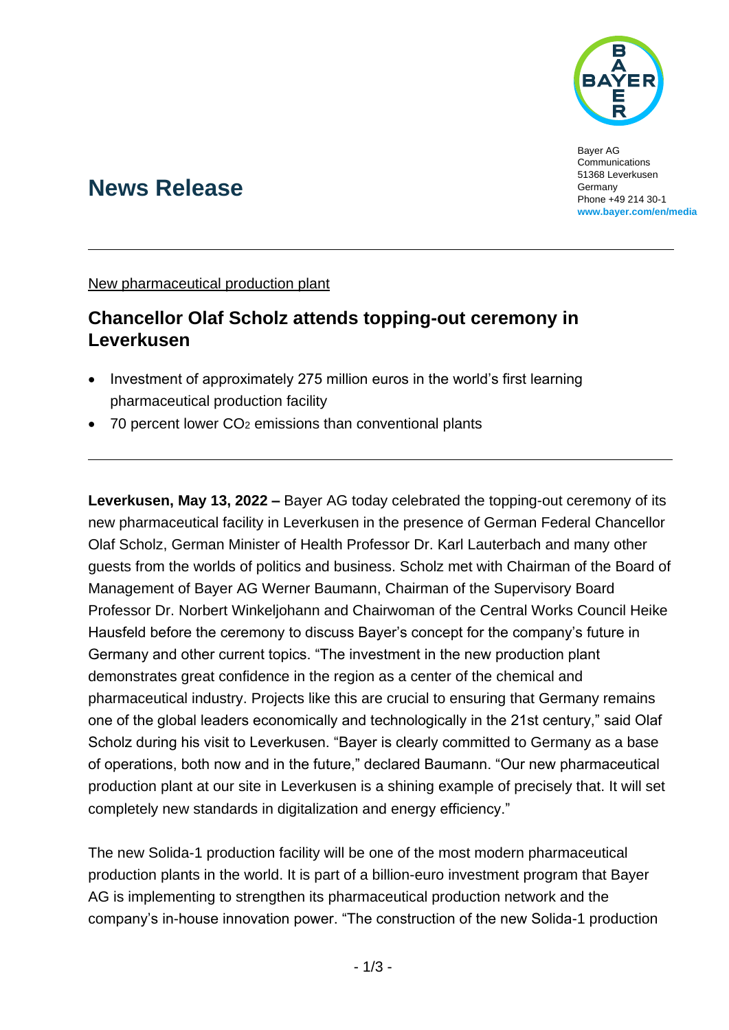

Bayer AG **Communications** 51368 Leverkusen Germany Phone +49 214 30-1 **[www.bayer.com/en/media](http://www.bayer.com/en/media)**

# **News Release**

New pharmaceutical production plant

## **Chancellor Olaf Scholz attends topping-out ceremony in Leverkusen**

- Investment of approximately 275 million euros in the world's first learning pharmaceutical production facility
- 70 percent lower  $CO<sub>2</sub>$  emissions than conventional plants

**Leverkusen, May 13, 2022 –** Bayer AG today celebrated the topping-out ceremony of its new pharmaceutical facility in Leverkusen in the presence of German Federal Chancellor Olaf Scholz, German Minister of Health Professor Dr. Karl Lauterbach and many other guests from the worlds of politics and business. Scholz met with Chairman of the Board of Management of Bayer AG Werner Baumann, Chairman of the Supervisory Board Professor Dr. Norbert Winkeljohann and Chairwoman of the Central Works Council Heike Hausfeld before the ceremony to discuss Bayer's concept for the company's future in Germany and other current topics. "The investment in the new production plant demonstrates great confidence in the region as a center of the chemical and pharmaceutical industry. Projects like this are crucial to ensuring that Germany remains one of the global leaders economically and technologically in the 21st century," said Olaf Scholz during his visit to Leverkusen. "Bayer is clearly committed to Germany as a base of operations, both now and in the future," declared Baumann. "Our new pharmaceutical production plant at our site in Leverkusen is a shining example of precisely that. It will set completely new standards in digitalization and energy efficiency."

The new Solida-1 production facility will be one of the most modern pharmaceutical production plants in the world. It is part of a billion-euro investment program that Bayer AG is implementing to strengthen its pharmaceutical production network and the company's in-house innovation power. "The construction of the new Solida-1 production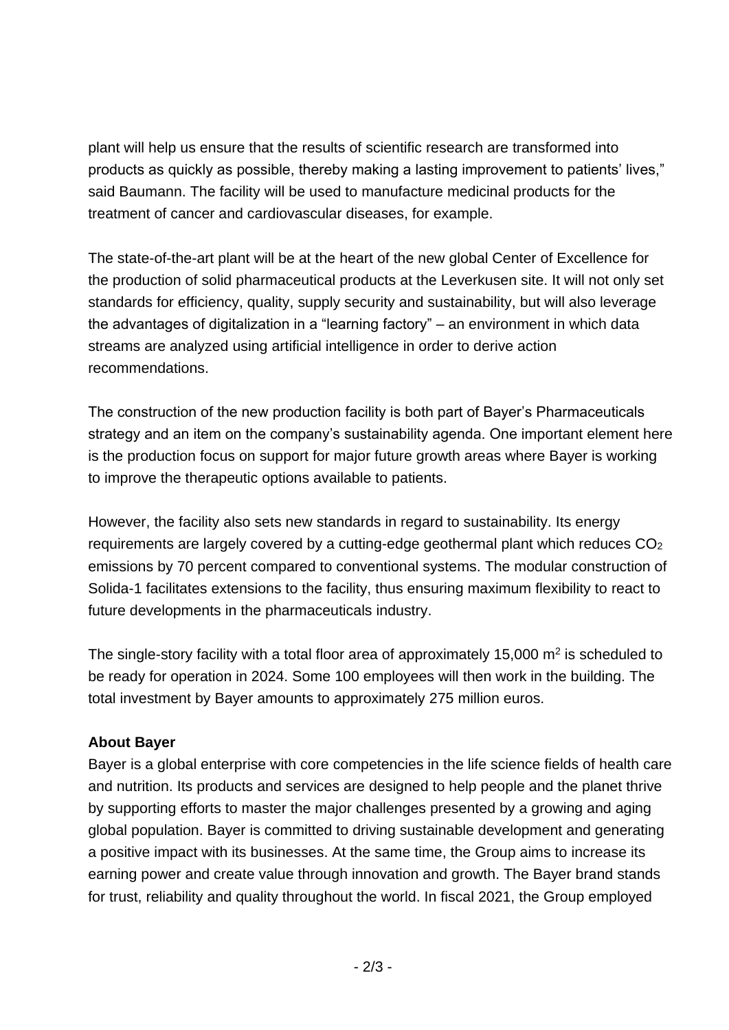plant will help us ensure that the results of scientific research are transformed into products as quickly as possible, thereby making a lasting improvement to patients' lives," said Baumann. The facility will be used to manufacture medicinal products for the treatment of cancer and cardiovascular diseases, for example.

The state-of-the-art plant will be at the heart of the new global Center of Excellence for the production of solid pharmaceutical products at the Leverkusen site. It will not only set standards for efficiency, quality, supply security and sustainability, but will also leverage the advantages of digitalization in a "learning factory" – an environment in which data streams are analyzed using artificial intelligence in order to derive action recommendations.

The construction of the new production facility is both part of Bayer's Pharmaceuticals strategy and an item on the company's sustainability agenda. One important element here is the production focus on support for major future growth areas where Bayer is working to improve the therapeutic options available to patients.

However, the facility also sets new standards in regard to sustainability. Its energy requirements are largely covered by a cutting-edge geothermal plant which reduces CO<sup>2</sup> emissions by 70 percent compared to conventional systems. The modular construction of Solida-1 facilitates extensions to the facility, thus ensuring maximum flexibility to react to future developments in the pharmaceuticals industry.

The single-story facility with a total floor area of approximately 15,000  $m<sup>2</sup>$  is scheduled to be ready for operation in 2024. Some 100 employees will then work in the building. The total investment by Bayer amounts to approximately 275 million euros.

### **About Bayer**

Bayer is a global enterprise with core competencies in the life science fields of health care and nutrition. Its products and services are designed to help people and the planet thrive by supporting efforts to master the major challenges presented by a growing and aging global population. Bayer is committed to driving sustainable development and generating a positive impact with its businesses. At the same time, the Group aims to increase its earning power and create value through innovation and growth. The Bayer brand stands for trust, reliability and quality throughout the world. In fiscal 2021, the Group employed